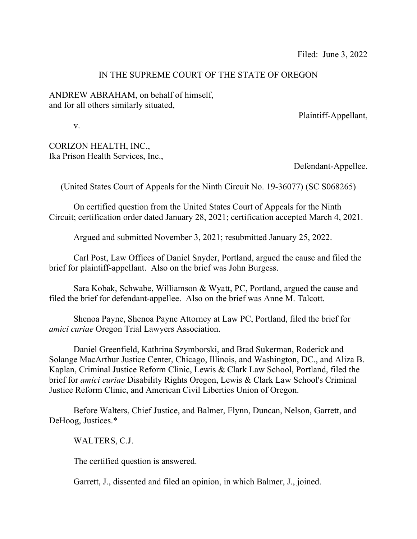## IN THE SUPREME COURT OF THE STATE OF OREGON

ANDREW ABRAHAM, on behalf of himself, and for all others similarly situated,

Plaintiff-Appellant,

v.

CORIZON HEALTH, INC., fka Prison Health Services, Inc.,

Defendant-Appellee.

(United States Court of Appeals for the Ninth Circuit No. 19-36077) (SC S068265)

 On certified question from the United States Court of Appeals for the Ninth Circuit; certification order dated January 28, 2021; certification accepted March 4, 2021.

Argued and submitted November 3, 2021; resubmitted January 25, 2022.

 Carl Post, Law Offices of Daniel Snyder, Portland, argued the cause and filed the brief for plaintiff-appellant. Also on the brief was John Burgess.

 Sara Kobak, Schwabe, Williamson & Wyatt, PC, Portland, argued the cause and filed the brief for defendant-appellee. Also on the brief was Anne M. Talcott.

 Shenoa Payne, Shenoa Payne Attorney at Law PC, Portland, filed the brief for *amici curiae* Oregon Trial Lawyers Association.

 Daniel Greenfield, Kathrina Szymborski, and Brad Sukerman, Roderick and Solange MacArthur Justice Center, Chicago, Illinois, and Washington, DC., and Aliza B. Kaplan, Criminal Justice Reform Clinic, Lewis & Clark Law School, Portland, filed the brief for *amici curiae* Disability Rights Oregon, Lewis & Clark Law School's Criminal Justice Reform Clinic, and American Civil Liberties Union of Oregon.

 Before Walters, Chief Justice, and Balmer, Flynn, Duncan, Nelson, Garrett, and DeHoog, Justices.\*

WALTERS, C.J.

The certified question is answered.

Garrett, J., dissented and filed an opinion, in which Balmer, J., joined.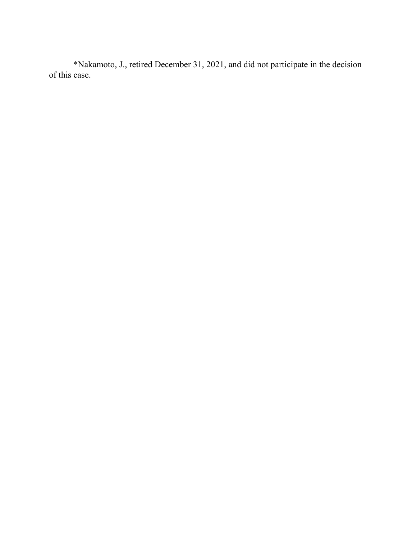\*Nakamoto, J., retired December 31, 2021, and did not participate in the decision of this case.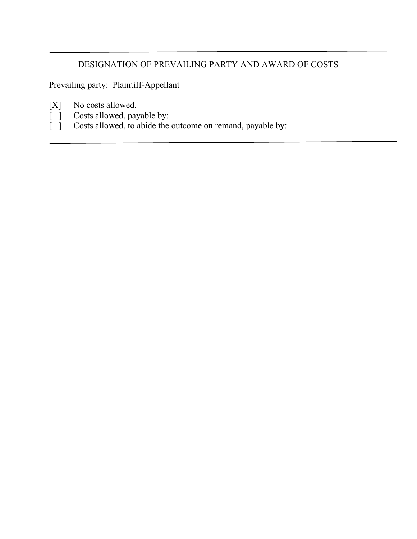## DESIGNATION OF PREVAILING PARTY AND AWARD OF COSTS

Prevailing party: Plaintiff-Appellant

- [X] No costs allowed.
- [ ] Costs allowed, payable by:<br>[ ] Costs allowed, to abide the
	- Costs allowed, to abide the outcome on remand, payable by: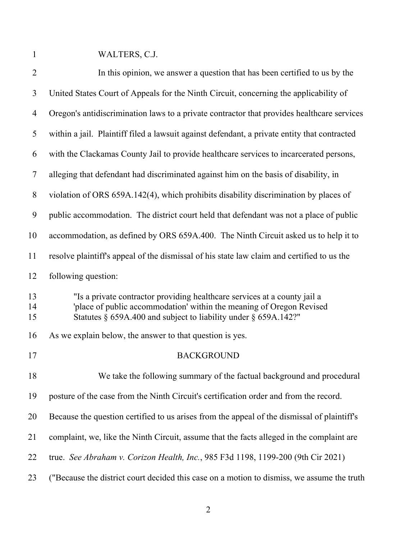1 WALTERS, C.J.

| $\overline{2}$ | In this opinion, we answer a question that has been certified to us by the                                                                                                                                           |
|----------------|----------------------------------------------------------------------------------------------------------------------------------------------------------------------------------------------------------------------|
| 3              | United States Court of Appeals for the Ninth Circuit, concerning the applicability of                                                                                                                                |
| 4              | Oregon's antidiscrimination laws to a private contractor that provides healthcare services                                                                                                                           |
| 5              | within a jail. Plaintiff filed a lawsuit against defendant, a private entity that contracted                                                                                                                         |
| 6              | with the Clackamas County Jail to provide healthcare services to incarcerated persons,                                                                                                                               |
| 7              | alleging that defendant had discriminated against him on the basis of disability, in                                                                                                                                 |
| 8              | violation of ORS 659A.142(4), which prohibits disability discrimination by places of                                                                                                                                 |
| 9              | public accommodation. The district court held that defendant was not a place of public                                                                                                                               |
| 10             | accommodation, as defined by ORS 659A.400. The Ninth Circuit asked us to help it to                                                                                                                                  |
| 11             | resolve plaintiff's appeal of the dismissal of his state law claim and certified to us the                                                                                                                           |
| 12             | following question:                                                                                                                                                                                                  |
| 13<br>14<br>15 | "Is a private contractor providing healthcare services at a county jail a<br>'place of public accommodation' within the meaning of Oregon Revised<br>Statutes § 659A.400 and subject to liability under § 659A.142?" |
| 16             | As we explain below, the answer to that question is yes.                                                                                                                                                             |
| 17             | <b>BACKGROUND</b>                                                                                                                                                                                                    |
| 18             | We take the following summary of the factual background and procedural                                                                                                                                               |
| 19             | posture of the case from the Ninth Circuit's certification order and from the record.                                                                                                                                |
| 20             | Because the question certified to us arises from the appeal of the dismissal of plaintiff's                                                                                                                          |
| 21             | complaint, we, like the Ninth Circuit, assume that the facts alleged in the complaint are                                                                                                                            |
| 22             | true. See Abraham v. Corizon Health, Inc., 985 F3d 1198, 1199-200 (9th Cir 2021)                                                                                                                                     |
| 23             | ("Because the district court decided this case on a motion to dismiss, we assume the truth                                                                                                                           |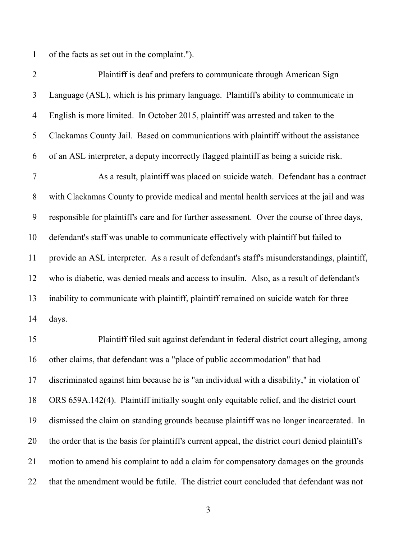1 of the facts as set out in the complaint.").

| $\overline{2}$ | Plaintiff is deaf and prefers to communicate through American Sign                                |
|----------------|---------------------------------------------------------------------------------------------------|
| 3              | Language (ASL), which is his primary language. Plaintiff's ability to communicate in              |
| $\overline{4}$ | English is more limited. In October 2015, plaintiff was arrested and taken to the                 |
| 5              | Clackamas County Jail. Based on communications with plaintiff without the assistance              |
| 6              | of an ASL interpreter, a deputy incorrectly flagged plaintiff as being a suicide risk.            |
| $\overline{7}$ | As a result, plaintiff was placed on suicide watch. Defendant has a contract                      |
| $8\,$          | with Clackamas County to provide medical and mental health services at the jail and was           |
| 9              | responsible for plaintiff's care and for further assessment. Over the course of three days,       |
| 10             | defendant's staff was unable to communicate effectively with plaintiff but failed to              |
| 11             | provide an ASL interpreter. As a result of defendant's staff's misunderstandings, plaintiff,      |
| 12             | who is diabetic, was denied meals and access to insulin. Also, as a result of defendant's         |
| 13             | inability to communicate with plaintiff, plaintiff remained on suicide watch for three            |
| 14             | days.                                                                                             |
| 15             | Plaintiff filed suit against defendant in federal district court alleging, among                  |
| 16             | other claims, that defendant was a "place of public accommodation" that had                       |
| 17             | discriminated against him because he is "an individual with a disability," in violation of        |
| 18             | ORS 659A.142(4). Plaintiff initially sought only equitable relief, and the district court         |
| 19             | dismissed the claim on standing grounds because plaintiff was no longer incarcerated. In          |
| 20             | the order that is the basis for plaintiff's current appeal, the district court denied plaintiff's |
| 21             | motion to amend his complaint to add a claim for compensatory damages on the grounds              |
| 22             | that the amendment would be futile. The district court concluded that defendant was not           |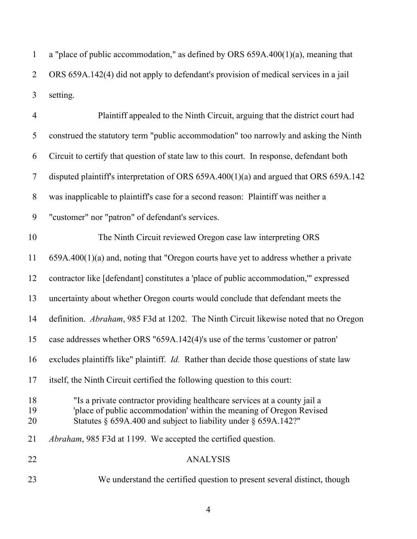1 a "place of public accommodation," as defined by ORS 659A.400(1)(a), meaning that 2 ORS 659A.142(4) did not apply to defendant's provision of medical services in a jail 3 setting.

| $\overline{4}$ | Plaintiff appealed to the Ninth Circuit, arguing that the district court had                                                                                                                                               |
|----------------|----------------------------------------------------------------------------------------------------------------------------------------------------------------------------------------------------------------------------|
| 5              | construed the statutory term "public accommodation" too narrowly and asking the Ninth                                                                                                                                      |
| 6              | Circuit to certify that question of state law to this court. In response, defendant both                                                                                                                                   |
| $\tau$         | disputed plaintiff's interpretation of ORS $659A.400(1)(a)$ and argued that ORS $659A.142$                                                                                                                                 |
| 8              | was inapplicable to plaintiff's case for a second reason: Plaintiff was neither a                                                                                                                                          |
| 9              | "customer" nor "patron" of defendant's services.                                                                                                                                                                           |
| 10             | The Ninth Circuit reviewed Oregon case law interpreting ORS                                                                                                                                                                |
| 11             | $659A.400(1)(a)$ and, noting that "Oregon courts have yet to address whether a private                                                                                                                                     |
| 12             | contractor like [defendant] constitutes a 'place of public accommodation," expressed                                                                                                                                       |
| 13             | uncertainty about whether Oregon courts would conclude that defendant meets the                                                                                                                                            |
| 14             | definition. Abraham, 985 F3d at 1202. The Ninth Circuit likewise noted that no Oregon                                                                                                                                      |
| 15             | case addresses whether ORS "659A.142(4)'s use of the terms 'customer or patron'                                                                                                                                            |
| 16             | excludes plaintiffs like" plaintiff. <i>Id.</i> Rather than decide those questions of state law                                                                                                                            |
| 17             | itself, the Ninth Circuit certified the following question to this court:                                                                                                                                                  |
| 18<br>19<br>20 | "Is a private contractor providing healthcare services at a county jail a<br>'place of public accommodation' within the meaning of Oregon Revised<br>Statutes $\S$ 659A.400 and subject to liability under $\S$ 659A.142?" |
| 21             | <i>Abraham</i> , 985 F3d at 1199. We accepted the certified question.                                                                                                                                                      |
| 22             | <b>ANALYSIS</b>                                                                                                                                                                                                            |
| 23             | We understand the certified question to present several distinct, though                                                                                                                                                   |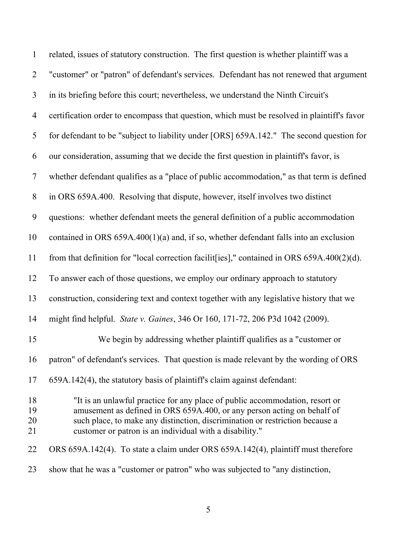| 1                    | related, issues of statutory construction. The first question is whether plaintiff was a                                                                                                                                                                                                           |
|----------------------|----------------------------------------------------------------------------------------------------------------------------------------------------------------------------------------------------------------------------------------------------------------------------------------------------|
| $\overline{2}$       | "customer" or "patron" of defendant's services. Defendant has not renewed that argument                                                                                                                                                                                                            |
| $\mathfrak{Z}$       | in its briefing before this court; nevertheless, we understand the Ninth Circuit's                                                                                                                                                                                                                 |
| $\overline{4}$       | certification order to encompass that question, which must be resolved in plaintiff's favor                                                                                                                                                                                                        |
| 5                    | for defendant to be "subject to liability under [ORS] 659A.142." The second question for                                                                                                                                                                                                           |
| 6                    | our consideration, assuming that we decide the first question in plaintiff's favor, is                                                                                                                                                                                                             |
| $\overline{7}$       | whether defendant qualifies as a "place of public accommodation," as that term is defined                                                                                                                                                                                                          |
| $8\,$                | in ORS 659A.400. Resolving that dispute, however, itself involves two distinct                                                                                                                                                                                                                     |
| 9                    | questions: whether defendant meets the general definition of a public accommodation                                                                                                                                                                                                                |
| 10                   | contained in ORS $659A.400(1)(a)$ and, if so, whether defendant falls into an exclusion                                                                                                                                                                                                            |
| 11                   | from that definition for "local correction facilit[ies]," contained in ORS $659A.400(2)(d)$ .                                                                                                                                                                                                      |
| 12                   | To answer each of those questions, we employ our ordinary approach to statutory                                                                                                                                                                                                                    |
| 13                   | construction, considering text and context together with any legislative history that we                                                                                                                                                                                                           |
| 14                   | might find helpful. State v. Gaines, 346 Or 160, 171-72, 206 P3d 1042 (2009).                                                                                                                                                                                                                      |
| 15                   | We begin by addressing whether plaintiff qualifies as a "customer or                                                                                                                                                                                                                               |
| 16                   | patron" of defendant's services. That question is made relevant by the wording of ORS                                                                                                                                                                                                              |
| 17                   | 659A.142(4), the statutory basis of plaintiff's claim against defendant:                                                                                                                                                                                                                           |
| 18<br>19<br>20<br>21 | "It is an unlawful practice for any place of public accommodation, resort or<br>amusement as defined in ORS 659A.400, or any person acting on behalf of<br>such place, to make any distinction, discrimination or restriction because a<br>customer or patron is an individual with a disability." |
| 22                   | ORS 659A.142(4). To state a claim under ORS 659A.142(4), plaintiff must therefore                                                                                                                                                                                                                  |
| 23                   | show that he was a "customer or patron" who was subjected to "any distinction,                                                                                                                                                                                                                     |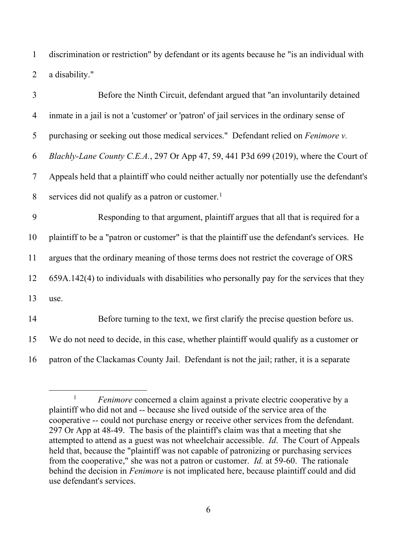1 discrimination or restriction" by defendant or its agents because he "is an individual with 2 a disability."

| 3              | Before the Ninth Circuit, defendant argued that "an involuntarily detained                    |
|----------------|-----------------------------------------------------------------------------------------------|
| $\overline{4}$ | inmate in a jail is not a 'customer' or 'patron' of jail services in the ordinary sense of    |
| 5              | purchasing or seeking out those medical services." Defendant relied on <i>Fenimore v</i> .    |
| 6              | Blachly-Lane County C.E.A., 297 Or App 47, 59, 441 P3d 699 (2019), where the Court of         |
| 7              | Appeals held that a plaintiff who could neither actually nor potentially use the defendant's  |
| 8              | services did not qualify as a patron or customer. <sup>1</sup>                                |
| 9              | Responding to that argument, plaintiff argues that all that is required for a                 |
| 10             | plaintiff to be a "patron or customer" is that the plaintiff use the defendant's services. He |
| 11             | argues that the ordinary meaning of those terms does not restrict the coverage of ORS         |
| 12             | 659A.142(4) to individuals with disabilities who personally pay for the services that they    |
| 13             | use.                                                                                          |
| 14             | Before turning to the text, we first clarify the precise question before us.                  |
| 15             | We do not need to decide, in this case, whether plaintiff would qualify as a customer or      |

16 patron of the Clackamas County Jail. Defendant is not the jail; rather, it is a separate

<sup>&</sup>lt;sup>1</sup> *Fenimore* concerned a claim against a private electric cooperative by a plaintiff who did not and -- because she lived outside of the service area of the cooperative -- could not purchase energy or receive other services from the defendant. 297 Or App at 48-49. The basis of the plaintiff's claim was that a meeting that she attempted to attend as a guest was not wheelchair accessible. *Id*. The Court of Appeals held that, because the "plaintiff was not capable of patronizing or purchasing services from the cooperative," she was not a patron or customer. *Id.* at 59-60. The rationale behind the decision in *Fenimore* is not implicated here, because plaintiff could and did use defendant's services.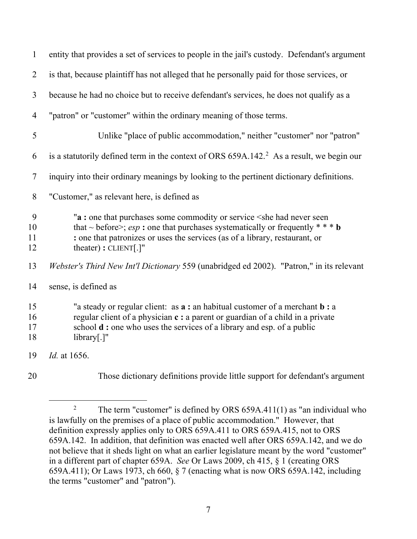| $\mathbf{1}$         | entity that provides a set of services to people in the jail's custody. Defendant's argument                                                                                                                                                                                         |
|----------------------|--------------------------------------------------------------------------------------------------------------------------------------------------------------------------------------------------------------------------------------------------------------------------------------|
| $\overline{2}$       | is that, because plaintiff has not alleged that he personally paid for those services, or                                                                                                                                                                                            |
| $\mathfrak{Z}$       | because he had no choice but to receive defendant's services, he does not qualify as a                                                                                                                                                                                               |
| $\overline{4}$       | "patron" or "customer" within the ordinary meaning of those terms.                                                                                                                                                                                                                   |
| 5                    | Unlike "place of public accommodation," neither "customer" nor "patron"                                                                                                                                                                                                              |
| 6                    | is a statutorily defined term in the context of ORS $659A.142.^2$ As a result, we begin our                                                                                                                                                                                          |
| $\tau$               | inquiry into their ordinary meanings by looking to the pertinent dictionary definitions.                                                                                                                                                                                             |
| 8                    | "Customer," as relevant here, is defined as                                                                                                                                                                                                                                          |
| 9<br>10<br>11<br>12  | "a: one that purchases some commodity or service < she had never seen<br>that ~ before>; esp : one that purchases systematically or frequently * * * b<br>: one that patronizes or uses the services (as of a library, restaurant, or<br>theater) : CLIENT[.]"                       |
| 13                   | Webster's Third New Int'l Dictionary 559 (unabridged ed 2002). "Patron," in its relevant                                                                                                                                                                                             |
| 14                   | sense, is defined as                                                                                                                                                                                                                                                                 |
| 15<br>16<br>17<br>18 | "a steady or regular client: as <b>a</b> : an habitual customer of a merchant <b>b</b> : a<br>regular client of a physician c: a parent or guardian of a child in a private<br>school <b>d</b> : one who uses the services of a library and esp. of a public<br>$\text{library}$ .]" |
| 19                   | Id. at 1656.                                                                                                                                                                                                                                                                         |
| 20                   | Those dictionary definitions provide little support for defendant's argument                                                                                                                                                                                                         |

<sup>2</sup> The term "customer" is defined by ORS 659A.411(1) as "an individual who is lawfully on the premises of a place of public accommodation." However, that definition expressly applies only to ORS 659A.411 to ORS 659A.415, not to ORS 659A.142. In addition, that definition was enacted well after ORS 659A.142, and we do not believe that it sheds light on what an earlier legislature meant by the word "customer" in a different part of chapter 659A. *See* Or Laws 2009, ch 415, § 1 (creating ORS 659A.411); Or Laws 1973, ch 660, § 7 (enacting what is now ORS 659A.142, including the terms "customer" and "patron").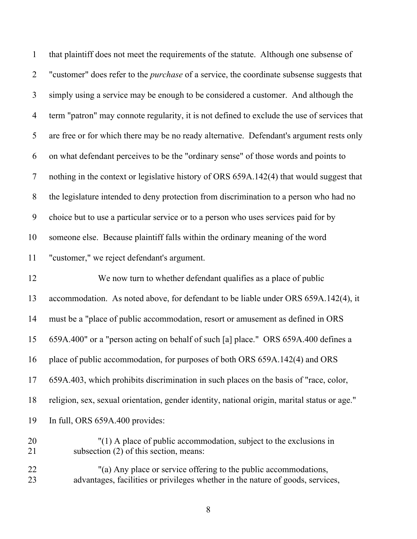| $\mathbf{1}$   | that plaintiff does not meet the requirements of the statute. Although one subsense of                       |
|----------------|--------------------------------------------------------------------------------------------------------------|
| $\overline{2}$ | "customer" does refer to the <i>purchase</i> of a service, the coordinate subsense suggests that             |
| 3              | simply using a service may be enough to be considered a customer. And although the                           |
| $\overline{4}$ | term "patron" may connote regularity, it is not defined to exclude the use of services that                  |
| 5              | are free or for which there may be no ready alternative. Defendant's argument rests only                     |
| 6              | on what defendant perceives to be the "ordinary sense" of those words and points to                          |
| 7              | nothing in the context or legislative history of ORS 659A.142(4) that would suggest that                     |
| $8\,$          | the legislature intended to deny protection from discrimination to a person who had no                       |
| 9              | choice but to use a particular service or to a person who uses services paid for by                          |
| 10             | someone else. Because plaintiff falls within the ordinary meaning of the word                                |
| 11             | "customer," we reject defendant's argument.                                                                  |
|                |                                                                                                              |
| 12             | We now turn to whether defendant qualifies as a place of public                                              |
| 13             | accommodation. As noted above, for defendant to be liable under ORS 659A.142(4), it                          |
| 14             | must be a "place of public accommodation, resort or amusement as defined in ORS                              |
| 15             | 659A.400" or a "person acting on behalf of such [a] place." ORS 659A.400 defines a                           |
| 16             | place of public accommodation, for purposes of both ORS 659A.142(4) and ORS                                  |
| 17             | 659A.403, which prohibits discrimination in such places on the basis of "race, color,                        |
| 18             | religion, sex, sexual orientation, gender identity, national origin, marital status or age."                 |
| 19             | In full, ORS 659A.400 provides:                                                                              |
| 20<br>21       | "(1) A place of public accommodation, subject to the exclusions in<br>subsection (2) of this section, means: |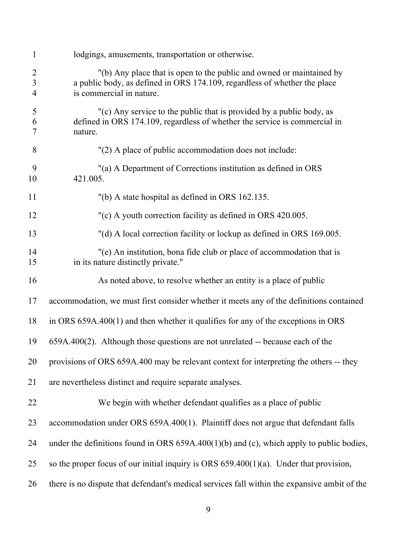| $\mathbf{1}$                                       | lodgings, amusements, transportation or otherwise.                                                                                                                            |
|----------------------------------------------------|-------------------------------------------------------------------------------------------------------------------------------------------------------------------------------|
| $\overline{2}$<br>$\overline{3}$<br>$\overline{4}$ | "(b) Any place that is open to the public and owned or maintained by<br>a public body, as defined in ORS 174.109, regardless of whether the place<br>is commercial in nature. |
| 5<br>6<br>7                                        | "(c) Any service to the public that is provided by a public body, as<br>defined in ORS 174.109, regardless of whether the service is commercial in<br>nature.                 |
| 8                                                  | "(2) A place of public accommodation does not include:                                                                                                                        |
| 9<br>10                                            | "(a) A Department of Corrections institution as defined in ORS<br>421.005.                                                                                                    |
| 11                                                 | "(b) A state hospital as defined in ORS 162.135.                                                                                                                              |
| 12                                                 | "(c) A youth correction facility as defined in ORS 420.005.                                                                                                                   |
| 13                                                 | "(d) A local correction facility or lockup as defined in ORS 169.005.                                                                                                         |
| 14<br>15                                           | "(e) An institution, bona fide club or place of accommodation that is<br>in its nature distinctly private."                                                                   |
| 16                                                 | As noted above, to resolve whether an entity is a place of public                                                                                                             |
| 17                                                 | accommodation, we must first consider whether it meets any of the definitions contained                                                                                       |
| 18                                                 | in ORS $659A.400(1)$ and then whether it qualifies for any of the exceptions in ORS                                                                                           |
| 19                                                 | $659A.400(2)$ . Although those questions are not unrelated -- because each of the                                                                                             |
| 20                                                 | provisions of ORS 659A.400 may be relevant context for interpreting the others -- they                                                                                        |
| 21                                                 | are nevertheless distinct and require separate analyses.                                                                                                                      |
| 22                                                 | We begin with whether defendant qualifies as a place of public                                                                                                                |
| 23                                                 | accommodation under ORS 659A.400(1). Plaintiff does not argue that defendant falls                                                                                            |
| 24                                                 | under the definitions found in ORS $659A.400(1)(b)$ and (c), which apply to public bodies,                                                                                    |
| 25                                                 | so the proper focus of our initial inquiry is ORS $659.400(1)(a)$ . Under that provision,                                                                                     |
| 26                                                 | there is no dispute that defendant's medical services fall within the expansive ambit of the                                                                                  |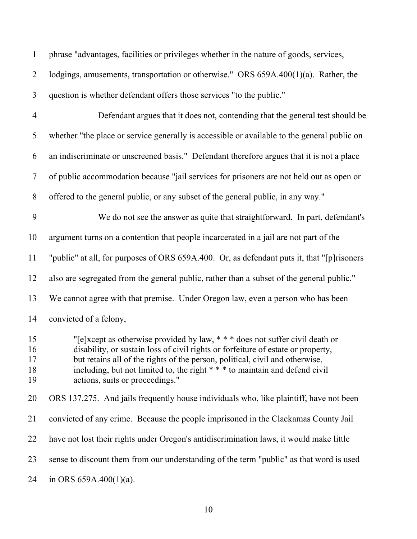| $\mathbf{1}$               | phrase "advantages, facilities or privileges whether in the nature of goods, services,                                                                                                                                                                                                                                                                           |
|----------------------------|------------------------------------------------------------------------------------------------------------------------------------------------------------------------------------------------------------------------------------------------------------------------------------------------------------------------------------------------------------------|
| $\overline{2}$             | lodgings, amusements, transportation or otherwise." ORS 659A.400(1)(a). Rather, the                                                                                                                                                                                                                                                                              |
| 3                          | question is whether defendant offers those services "to the public."                                                                                                                                                                                                                                                                                             |
| $\overline{4}$             | Defendant argues that it does not, contending that the general test should be                                                                                                                                                                                                                                                                                    |
| 5                          | whether "the place or service generally is accessible or available to the general public on                                                                                                                                                                                                                                                                      |
| 6                          | an indiscriminate or unscreened basis." Defendant therefore argues that it is not a place                                                                                                                                                                                                                                                                        |
| $\tau$                     | of public accommodation because "jail services for prisoners are not held out as open or                                                                                                                                                                                                                                                                         |
| 8                          | offered to the general public, or any subset of the general public, in any way."                                                                                                                                                                                                                                                                                 |
| 9                          | We do not see the answer as quite that straightforward. In part, defendant's                                                                                                                                                                                                                                                                                     |
| 10                         | argument turns on a contention that people incarcerated in a jail are not part of the                                                                                                                                                                                                                                                                            |
| 11                         | "public" at all, for purposes of ORS 659A.400. Or, as defendant puts it, that "[p] risoners                                                                                                                                                                                                                                                                      |
| 12                         | also are segregated from the general public, rather than a subset of the general public."                                                                                                                                                                                                                                                                        |
| 13                         | We cannot agree with that premise. Under Oregon law, even a person who has been                                                                                                                                                                                                                                                                                  |
| 14                         | convicted of a felony,                                                                                                                                                                                                                                                                                                                                           |
| 15<br>16<br>17<br>18<br>19 | "[e]xcept as otherwise provided by law, *** does not suffer civil death or<br>disability, or sustain loss of civil rights or forfeiture of estate or property,<br>but retains all of the rights of the person, political, civil and otherwise,<br>including, but not limited to, the right * * * to maintain and defend civil<br>actions, suits or proceedings." |
| 20                         | ORS 137.275. And jails frequently house individuals who, like plaintiff, have not been                                                                                                                                                                                                                                                                           |
| 21                         | convicted of any crime. Because the people imprisoned in the Clackamas County Jail                                                                                                                                                                                                                                                                               |
| 22                         | have not lost their rights under Oregon's antidiscrimination laws, it would make little                                                                                                                                                                                                                                                                          |
| 23                         | sense to discount them from our understanding of the term "public" as that word is used                                                                                                                                                                                                                                                                          |
| 24                         | in ORS $659A.400(1)(a)$ .                                                                                                                                                                                                                                                                                                                                        |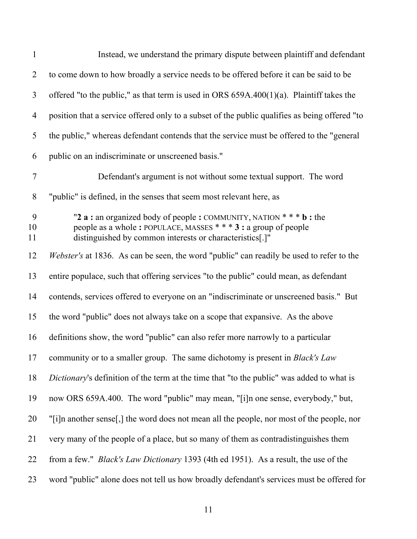| $\mathbf{1}$   | Instead, we understand the primary dispute between plaintiff and defendant                                                                                                                          |
|----------------|-----------------------------------------------------------------------------------------------------------------------------------------------------------------------------------------------------|
| $\overline{2}$ | to come down to how broadly a service needs to be offered before it can be said to be                                                                                                               |
| 3              | offered "to the public," as that term is used in ORS $659A.400(1)(a)$ . Plaintiff takes the                                                                                                         |
| $\overline{4}$ | position that a service offered only to a subset of the public qualifies as being offered "to                                                                                                       |
| 5              | the public," whereas defendant contends that the service must be offered to the "general                                                                                                            |
| 6              | public on an indiscriminate or unscreened basis."                                                                                                                                                   |
| $\overline{7}$ | Defendant's argument is not without some textual support. The word                                                                                                                                  |
| 8              | "public" is defined, in the senses that seem most relevant here, as                                                                                                                                 |
| 9<br>10<br>11  | "2 a : an organized body of people : COMMUNITY, NATION * * * b : the<br>people as a whole: POPULACE, MASSES * * * 3 : a group of people<br>distinguished by common interests or characteristics[.]" |
| 12             | <i>Webster's</i> at 1836. As can be seen, the word "public" can readily be used to refer to the                                                                                                     |
| 13             | entire populace, such that offering services "to the public" could mean, as defendant                                                                                                               |
| 14             | contends, services offered to everyone on an "indiscriminate or unscreened basis." But                                                                                                              |
| 15             | the word "public" does not always take on a scope that expansive. As the above                                                                                                                      |
| 16             | definitions show, the word "public" can also refer more narrowly to a particular                                                                                                                    |
| 17             | community or to a smaller group. The same dichotomy is present in <i>Black's Law</i>                                                                                                                |
| 18             | Dictionary's definition of the term at the time that "to the public" was added to what is                                                                                                           |
| 19             | now ORS 659A.400. The word "public" may mean, "[i]n one sense, everybody," but,                                                                                                                     |
| 20             | "[i]n another sense[,] the word does not mean all the people, nor most of the people, nor                                                                                                           |
| 21             | very many of the people of a place, but so many of them as contradistinguishes them                                                                                                                 |
| 22             | from a few." <i>Black's Law Dictionary</i> 1393 (4th ed 1951). As a result, the use of the                                                                                                          |
| 23             | word "public" alone does not tell us how broadly defendant's services must be offered for                                                                                                           |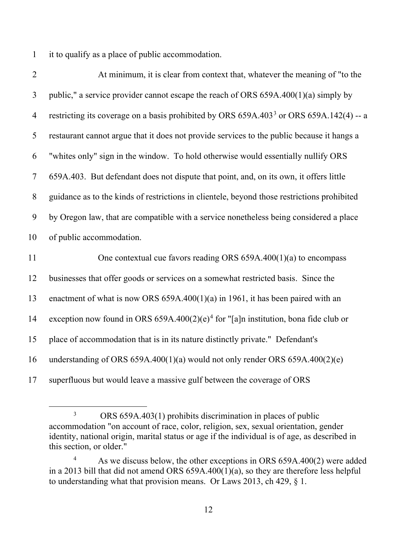1 it to qualify as a place of public accommodation.

| $\overline{2}$ | At minimum, it is clear from context that, whatever the meaning of "to the                          |
|----------------|-----------------------------------------------------------------------------------------------------|
| 3              | public," a service provider cannot escape the reach of ORS $659A.400(1)(a)$ simply by               |
| $\overline{4}$ | restricting its coverage on a basis prohibited by ORS 659A.403 <sup>3</sup> or ORS 659A.142(4) -- a |
| 5              | restaurant cannot argue that it does not provide services to the public because it hangs a          |
| 6              | "whites only" sign in the window. To hold otherwise would essentially nullify ORS                   |
| $\tau$         | 659A.403. But defendant does not dispute that point, and, on its own, it offers little              |
| 8              | guidance as to the kinds of restrictions in clientele, beyond those restrictions prohibited         |
| 9              | by Oregon law, that are compatible with a service nonetheless being considered a place              |
| 10             | of public accommodation.                                                                            |
| 11             | One contextual cue favors reading ORS $659A.400(1)(a)$ to encompass                                 |
| 12             | businesses that offer goods or services on a somewhat restricted basis. Since the                   |
| 13             | enactment of what is now ORS $659A.400(1)(a)$ in 1961, it has been paired with an                   |
| 14             | exception now found in ORS 659A.400(2)(e) <sup>4</sup> for "[a]n institution, bona fide club or     |
| 15             | place of accommodation that is in its nature distinctly private." Defendant's                       |
| 16             | understanding of ORS $659A.400(1)(a)$ would not only render ORS $659A.400(2)(e)$                    |
| 17             | superfluous but would leave a massive gulf between the coverage of ORS                              |

<sup>3</sup> ORS 659A.403(1) prohibits discrimination in places of public accommodation "on account of race, color, religion, sex, sexual orientation, gender identity, national origin, marital status or age if the individual is of age, as described in this section, or older."

<sup>4</sup> As we discuss below, the other exceptions in ORS 659A.400(2) were added in a 2013 bill that did not amend ORS  $659A.400(1)(a)$ , so they are therefore less helpful to understanding what that provision means. Or Laws 2013, ch 429, § 1.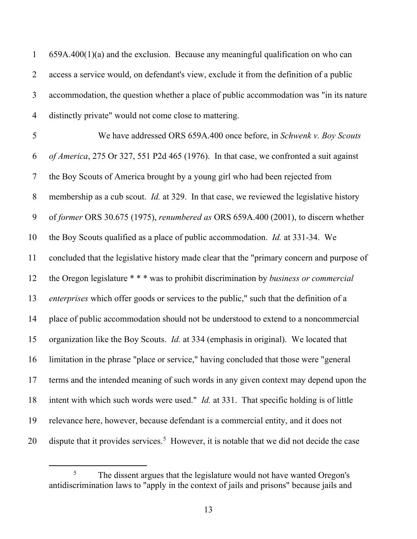1 659A.400(1)(a) and the exclusion. Because any meaningful qualification on who can 2 access a service would, on defendant's view, exclude it from the definition of a public 3 accommodation, the question whether a place of public accommodation was "in its nature 4 distinctly private" would not come close to mattering.

5 We have addressed ORS 659A.400 once before, in *Schwenk v. Boy Scouts*  6 *of America*, 275 Or 327, 551 P2d 465 (1976). In that case, we confronted a suit against 7 the Boy Scouts of America brought by a young girl who had been rejected from 8 membership as a cub scout. *Id.* at 329. In that case, we reviewed the legislative history 9 of *former* ORS 30.675 (1975), *renumbered as* ORS 659A.400 (2001), to discern whether 10 the Boy Scouts qualified as a place of public accommodation. *Id.* at 331-34. We 11 concluded that the legislative history made clear that the "primary concern and purpose of 12 the Oregon legislature \* \* \* was to prohibit discrimination by *business or commercial*  13 *enterprises* which offer goods or services to the public," such that the definition of a 14 place of public accommodation should not be understood to extend to a noncommercial 15 organization like the Boy Scouts. *Id.* at 334 (emphasis in original). We located that 16 limitation in the phrase "place or service," having concluded that those were "general 17 terms and the intended meaning of such words in any given context may depend upon the 18 intent with which such words were used." *Id.* at 331. That specific holding is of little 19 relevance here, however, because defendant is a commercial entity, and it does not 20 dispute that it provides services.<sup>5</sup> However, it is notable that we did not decide the case

<sup>5</sup> The dissent argues that the legislature would not have wanted Oregon's antidiscrimination laws to "apply in the context of jails and prisons" because jails and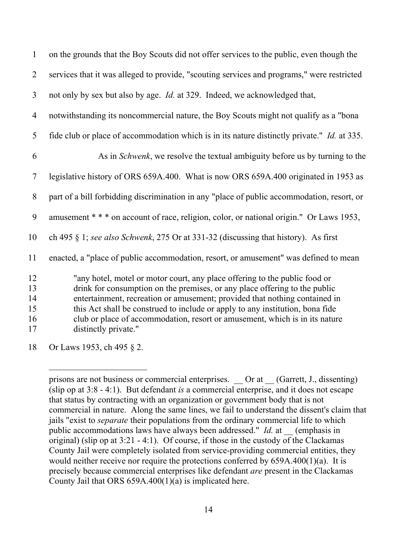| $\mathbf{1}$                     | on the grounds that the Boy Scouts did not offer services to the public, even though the                                                                                                                                                                                                                                                                                                                                       |
|----------------------------------|--------------------------------------------------------------------------------------------------------------------------------------------------------------------------------------------------------------------------------------------------------------------------------------------------------------------------------------------------------------------------------------------------------------------------------|
| $\overline{2}$                   | services that it was alleged to provide, "scouting services and programs," were restricted                                                                                                                                                                                                                                                                                                                                     |
| 3                                | not only by sex but also by age. <i>Id.</i> at 329. Indeed, we acknowledged that,                                                                                                                                                                                                                                                                                                                                              |
| $\overline{4}$                   | notwithstanding its noncommercial nature, the Boy Scouts might not qualify as a "bona                                                                                                                                                                                                                                                                                                                                          |
| 5                                | fide club or place of accommodation which is in its nature distinctly private." <i>Id.</i> at 335.                                                                                                                                                                                                                                                                                                                             |
| 6                                | As in <i>Schwenk</i> , we resolve the textual ambiguity before us by turning to the                                                                                                                                                                                                                                                                                                                                            |
| 7                                | legislative history of ORS 659A.400. What is now ORS 659A.400 originated in 1953 as                                                                                                                                                                                                                                                                                                                                            |
| 8                                | part of a bill forbidding discrimination in any "place of public accommodation, resort, or                                                                                                                                                                                                                                                                                                                                     |
| 9                                | amusement * * * on account of race, religion, color, or national origin." Or Laws 1953,                                                                                                                                                                                                                                                                                                                                        |
| 10                               | ch 495 $\S$ 1; see also Schwenk, 275 Or at 331-32 (discussing that history). As first                                                                                                                                                                                                                                                                                                                                          |
| 11                               | enacted, a "place of public accommodation, resort, or amusement" was defined to mean                                                                                                                                                                                                                                                                                                                                           |
| 12<br>13<br>14<br>15<br>16<br>17 | "any hotel, motel or motor court, any place offering to the public food or<br>drink for consumption on the premises, or any place offering to the public<br>entertainment, recreation or amusement; provided that nothing contained in<br>this Act shall be construed to include or apply to any institution, bona fide<br>club or place of accommodation, resort or amusement, which is in its nature<br>distinctly private." |
| 18                               | Or Laws 1953, ch 495 § 2.                                                                                                                                                                                                                                                                                                                                                                                                      |

prisons are not business or commercial enterprises. Or at (Garrett, J., dissenting) (slip op at 3:8 - 4:1). But defendant *is* a commercial enterprise, and it does not escape that status by contracting with an organization or government body that is not commercial in nature. Along the same lines, we fail to understand the dissent's claim that jails "exist to *separate* their populations from the ordinary commercial life to which public accommodations laws have always been addressed." *Id.* at \_\_ (emphasis in original) (slip op at 3:21 - 4:1). Of course, if those in the custody of the Clackamas County Jail were completely isolated from service-providing commercial entities, they would neither receive nor require the protections conferred by 659A.400(1)(a). It is precisely because commercial enterprises like defendant *are* present in the Clackamas County Jail that ORS  $659A.400(1)(a)$  is implicated here.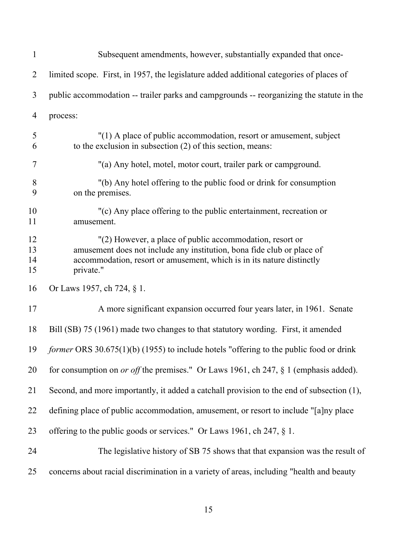| $\mathbf{1}$         | Subsequent amendments, however, substantially expanded that once-                                                                                                                                                        |
|----------------------|--------------------------------------------------------------------------------------------------------------------------------------------------------------------------------------------------------------------------|
| $\overline{2}$       | limited scope. First, in 1957, the legislature added additional categories of places of                                                                                                                                  |
| 3                    | public accommodation -- trailer parks and campgrounds -- reorganizing the statute in the                                                                                                                                 |
| $\overline{4}$       | process:                                                                                                                                                                                                                 |
| 5<br>6               | "(1) A place of public accommodation, resort or amusement, subject<br>to the exclusion in subsection (2) of this section, means:                                                                                         |
| 7                    | "(a) Any hotel, motel, motor court, trailer park or campground.                                                                                                                                                          |
| 8<br>9               | "(b) Any hotel offering to the public food or drink for consumption<br>on the premises.                                                                                                                                  |
| 10<br>11             | "(c) Any place offering to the public entertainment, recreation or<br>amusement.                                                                                                                                         |
| 12<br>13<br>14<br>15 | "(2) However, a place of public accommodation, resort or<br>amusement does not include any institution, bona fide club or place of<br>accommodation, resort or amusement, which is in its nature distinctly<br>private." |
| 16                   | Or Laws 1957, ch 724, § 1.                                                                                                                                                                                               |
| 17                   | A more significant expansion occurred four years later, in 1961. Senate                                                                                                                                                  |
| 18                   | Bill (SB) 75 (1961) made two changes to that statutory wording. First, it amended                                                                                                                                        |
| 19                   | former ORS 30.675(1)(b) (1955) to include hotels "offering to the public food or drink                                                                                                                                   |
| 20                   | for consumption on <i>or off</i> the premises." Or Laws 1961, ch 247, $\S$ 1 (emphasis added).                                                                                                                           |
| 21                   | Second, and more importantly, it added a catchall provision to the end of subsection (1),                                                                                                                                |
| 22                   | defining place of public accommodation, amusement, or resort to include "[a]ny place                                                                                                                                     |
| 23                   | offering to the public goods or services." Or Laws 1961, ch 247, § 1.                                                                                                                                                    |
| 24                   | The legislative history of SB 75 shows that that expansion was the result of                                                                                                                                             |
| 25                   | concerns about racial discrimination in a variety of areas, including "health and beauty                                                                                                                                 |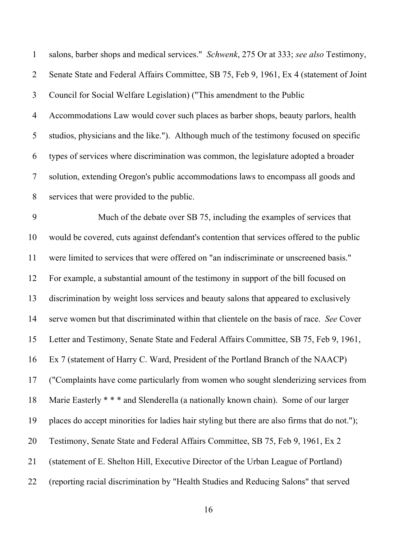| $\mathbf{1}$   | salons, barber shops and medical services." Schwenk, 275 Or at 333; see also Testimony,      |
|----------------|----------------------------------------------------------------------------------------------|
| $\overline{2}$ | Senate State and Federal Affairs Committee, SB 75, Feb 9, 1961, Ex 4 (statement of Joint     |
| $\overline{3}$ | Council for Social Welfare Legislation) ("This amendment to the Public                       |
| $\overline{4}$ | Accommodations Law would cover such places as barber shops, beauty parlors, health           |
| 5              | studios, physicians and the like."). Although much of the testimony focused on specific      |
| 6              | types of services where discrimination was common, the legislature adopted a broader         |
| $\tau$         | solution, extending Oregon's public accommodations laws to encompass all goods and           |
| 8              | services that were provided to the public.                                                   |
| 9              | Much of the debate over SB 75, including the examples of services that                       |
| 10             | would be covered, cuts against defendant's contention that services offered to the public    |
| 11             | were limited to services that were offered on "an indiscriminate or unscreened basis."       |
| 12             | For example, a substantial amount of the testimony in support of the bill focused on         |
| 13             | discrimination by weight loss services and beauty salons that appeared to exclusively        |
| 14             | serve women but that discriminated within that clientele on the basis of race. See Cover     |
| 15             | Letter and Testimony, Senate State and Federal Affairs Committee, SB 75, Feb 9, 1961,        |
| 16             | Ex 7 (statement of Harry C. Ward, President of the Portland Branch of the NAACP)             |
| 17             | ("Complaints have come particularly from women who sought slenderizing services from         |
| 18             | Marie Easterly * * * and Slenderella (a nationally known chain). Some of our larger          |
| 19             | places do accept minorities for ladies hair styling but there are also firms that do not."); |
| 20             | Testimony, Senate State and Federal Affairs Committee, SB 75, Feb 9, 1961, Ex 2              |
| 21             | (statement of E. Shelton Hill, Executive Director of the Urban League of Portland)           |
| 22             | (reporting racial discrimination by "Health Studies and Reducing Salons" that served         |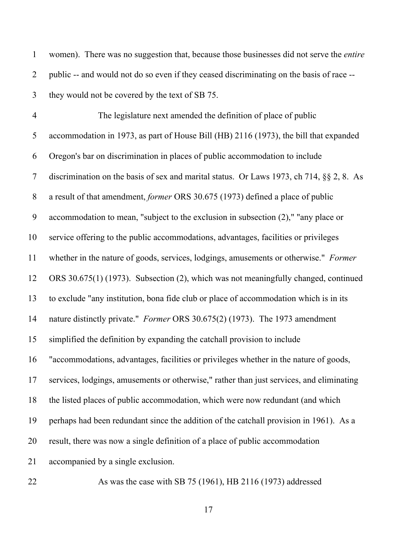| $\mathbf{1}$             | women). There was no suggestion that, because those businesses did not serve the entire      |
|--------------------------|----------------------------------------------------------------------------------------------|
| $\overline{2}$           | public -- and would not do so even if they ceased discriminating on the basis of race --     |
| 3                        | they would not be covered by the text of SB 75.                                              |
| $\overline{\mathcal{A}}$ | The legislature next amended the definition of place of public                               |
| 5                        | accommodation in 1973, as part of House Bill (HB) 2116 (1973), the bill that expanded        |
| 6                        | Oregon's bar on discrimination in places of public accommodation to include                  |
| $\tau$                   | discrimination on the basis of sex and marital status. Or Laws 1973, ch 714, $\S$ § 2, 8. As |
| $8\,$                    | a result of that amendment, former ORS 30.675 (1973) defined a place of public               |
| 9                        | accommodation to mean, "subject to the exclusion in subsection $(2)$ ," "any place or        |
| 10                       | service offering to the public accommodations, advantages, facilities or privileges          |
| 11                       | whether in the nature of goods, services, lodgings, amusements or otherwise." Former         |
| 12                       | ORS 30.675(1) (1973). Subsection (2), which was not meaningfully changed, continued          |
| 13                       | to exclude "any institution, bona fide club or place of accommodation which is in its        |
| 14                       | nature distinctly private." Former ORS 30.675(2) (1973). The 1973 amendment                  |
| 15                       | simplified the definition by expanding the catchall provision to include                     |
| 16                       | "accommodations, advantages, facilities or privileges whether in the nature of goods,        |
| 17                       | services, lodgings, amusements or otherwise," rather than just services, and eliminating     |
| 18                       | the listed places of public accommodation, which were now redundant (and which               |
| 19                       | perhaps had been redundant since the addition of the catchall provision in 1961). As a       |
| 20                       | result, there was now a single definition of a place of public accommodation                 |
| 21                       | accompanied by a single exclusion.                                                           |
| 22                       | As was the case with SB 75 (1961), HB 2116 (1973) addressed                                  |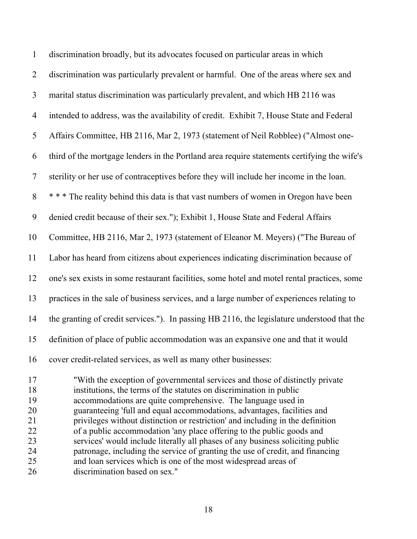| $\mathbf{1}$               | discrimination broadly, but its advocates focused on particular areas in which                                                                                                                                       |
|----------------------------|----------------------------------------------------------------------------------------------------------------------------------------------------------------------------------------------------------------------|
| $\overline{2}$             | discrimination was particularly prevalent or harmful. One of the areas where sex and                                                                                                                                 |
| 3                          | marital status discrimination was particularly prevalent, and which HB 2116 was                                                                                                                                      |
| $\overline{4}$             | intended to address, was the availability of credit. Exhibit 7, House State and Federal                                                                                                                              |
| 5                          | Affairs Committee, HB 2116, Mar 2, 1973 (statement of Neil Robblee) ("Almost one-                                                                                                                                    |
| 6                          | third of the mortgage lenders in the Portland area require statements certifying the wife's                                                                                                                          |
| $\tau$                     | sterility or her use of contraceptives before they will include her income in the loan.                                                                                                                              |
| 8                          | * * * The reality behind this data is that vast numbers of women in Oregon have been                                                                                                                                 |
| 9                          | denied credit because of their sex."); Exhibit 1, House State and Federal Affairs                                                                                                                                    |
| 10                         | Committee, HB 2116, Mar 2, 1973 (statement of Eleanor M. Meyers) ("The Bureau of                                                                                                                                     |
| 11                         | Labor has heard from citizens about experiences indicating discrimination because of                                                                                                                                 |
| 12                         | one's sex exists in some restaurant facilities, some hotel and motel rental practices, some                                                                                                                          |
| 13                         | practices in the sale of business services, and a large number of experiences relating to                                                                                                                            |
| 14                         | the granting of credit services."). In passing HB 2116, the legislature understood that the                                                                                                                          |
| 15                         | definition of place of public accommodation was an expansive one and that it would                                                                                                                                   |
| 16                         | cover credit-related services, as well as many other businesses:                                                                                                                                                     |
| 17<br>18<br>1 <sub>0</sub> | "With the exception of governmental services and those of distinctly private<br>institutions, the terms of the statutes on discrimination in public<br>cocomus detions and quite communicative. The language used in |

19 accommodations are quite comprehensive. The language used in 20 guaranteeing 'full and equal accommodations, advantages, facilities and 21 privileges without distinction or restriction' and including in the definition 22 of a public accommodation 'any place offering to the public goods and 23 services' would include literally all phases of any business soliciting public 24 patronage, including the service of granting the use of credit, and financing<br>25 and loan services which is one of the most widespread areas of and loan services which is one of the most widespread areas of 26 discrimination based on sex."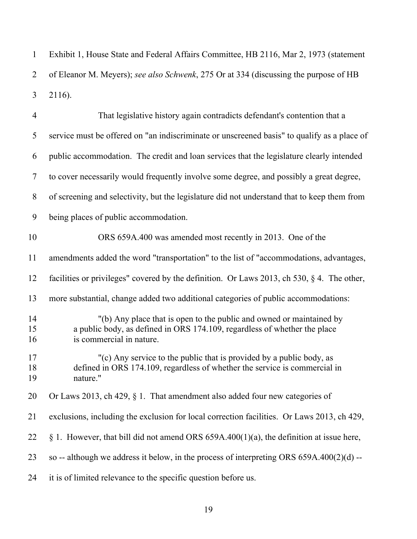1 Exhibit 1, House State and Federal Affairs Committee, HB 2116, Mar 2, 1973 (statement 2 of Eleanor M. Meyers); *see also Schwenk*, 275 Or at 334 (discussing the purpose of HB 2116). 3

| $\overline{4}$ | That legislative history again contradicts defendant's contention that a                                                                                                      |
|----------------|-------------------------------------------------------------------------------------------------------------------------------------------------------------------------------|
| 5              | service must be offered on "an indiscriminate or unscreened basis" to qualify as a place of                                                                                   |
| 6              | public accommodation. The credit and loan services that the legislature clearly intended                                                                                      |
| $\tau$         | to cover necessarily would frequently involve some degree, and possibly a great degree,                                                                                       |
| 8              | of screening and selectivity, but the legislature did not understand that to keep them from                                                                                   |
| 9              | being places of public accommodation.                                                                                                                                         |
| 10             | ORS 659A.400 was amended most recently in 2013. One of the                                                                                                                    |
| 11             | amendments added the word "transportation" to the list of "accommodations, advantages,                                                                                        |
| 12             | facilities or privileges" covered by the definition. Or Laws 2013, ch 530, $\S$ 4. The other,                                                                                 |
| 13             | more substantial, change added two additional categories of public accommodations:                                                                                            |
| 14<br>15<br>16 | "(b) Any place that is open to the public and owned or maintained by<br>a public body, as defined in ORS 174.109, regardless of whether the place<br>is commercial in nature. |
| 17<br>18<br>19 | "(c) Any service to the public that is provided by a public body, as<br>defined in ORS 174.109, regardless of whether the service is commercial in<br>nature."                |
| 20             | Or Laws 2013, ch 429, $\S$ 1. That amendment also added four new categories of                                                                                                |
| 21             | exclusions, including the exclusion for local correction facilities. Or Laws 2013, ch 429,                                                                                    |
| 22             | § 1. However, that bill did not amend ORS $659A.400(1)(a)$ , the definition at issue here,                                                                                    |
| 23             | so -- although we address it below, in the process of interpreting ORS $659A.400(2)(d)$ --                                                                                    |
| 24             | it is of limited relevance to the specific question before us.                                                                                                                |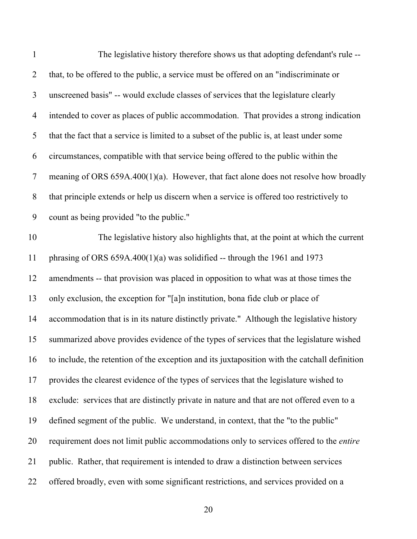| $\mathbf{1}$   | The legislative history therefore shows us that adopting defendant's rule --                   |
|----------------|------------------------------------------------------------------------------------------------|
| $\overline{2}$ | that, to be offered to the public, a service must be offered on an "indiscriminate or          |
| $\mathfrak{Z}$ | unscreened basis" -- would exclude classes of services that the legislature clearly            |
| $\overline{4}$ | intended to cover as places of public accommodation. That provides a strong indication         |
| 5              | that the fact that a service is limited to a subset of the public is, at least under some      |
| 6              | circumstances, compatible with that service being offered to the public within the             |
| $\tau$         | meaning of ORS $659A.400(1)(a)$ . However, that fact alone does not resolve how broadly        |
| $8\,$          | that principle extends or help us discern when a service is offered too restrictively to       |
| 9              | count as being provided "to the public."                                                       |
| 10             | The legislative history also highlights that, at the point at which the current                |
| 11             | phrasing of ORS $659A.400(1)(a)$ was solidified -- through the 1961 and 1973                   |
| 12             | amendments -- that provision was placed in opposition to what was at those times the           |
| 13             | only exclusion, the exception for "[a]n institution, bona fide club or place of                |
| 14             | accommodation that is in its nature distinctly private." Although the legislative history      |
| 15             | summarized above provides evidence of the types of services that the legislature wished        |
| 16             | to include, the retention of the exception and its juxtaposition with the catchall definition  |
| 17             | provides the clearest evidence of the types of services that the legislature wished to         |
| 18             | exclude: services that are distinctly private in nature and that are not offered even to a     |
| 19             | defined segment of the public. We understand, in context, that the "to the public"             |
| 20             | requirement does not limit public accommodations only to services offered to the <i>entire</i> |
| 21             | public. Rather, that requirement is intended to draw a distinction between services            |
| 22             | offered broadly, even with some significant restrictions, and services provided on a           |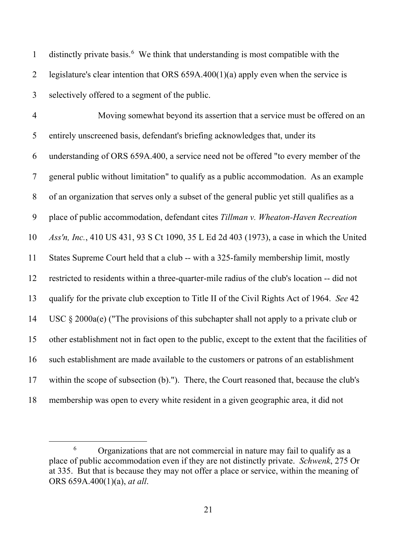2 legislature's clear intention that ORS  $659A.400(1)(a)$  apply even when the service is 3 selectively offered to a segment of the public. 4 Moving somewhat beyond its assertion that a service must be offered on an 5 entirely unscreened basis, defendant's briefing acknowledges that, under its 6 understanding of ORS 659A.400, a service need not be offered "to every member of the 7 general public without limitation" to qualify as a public accommodation. As an example 8 of an organization that serves only a subset of the general public yet still qualifies as a 9 place of public accommodation, defendant cites *Tillman v. Wheaton-Haven Recreation*  10 *Ass'n, Inc.*, 410 US 431, 93 S Ct 1090, 35 L Ed 2d 403 (1973), a case in which the United 11 States Supreme Court held that a club -- with a 325-family membership limit, mostly 12 restricted to residents within a three-quarter-mile radius of the club's location -- did not 13 qualify for the private club exception to Title II of the Civil Rights Act of 1964. *See* 42 14 USC § 2000a(e) ("The provisions of this subchapter shall not apply to a private club or 15 other establishment not in fact open to the public, except to the extent that the facilities of 16 such establishment are made available to the customers or patrons of an establishment 17 within the scope of subsection (b)."). There, the Court reasoned that, because the club's 18 membership was open to every white resident in a given geographic area, it did not

distinctly private basis.<sup>6</sup> We think that understanding is most compatible with the

<sup>6</sup> Organizations that are not commercial in nature may fail to qualify as a place of public accommodation even if they are not distinctly private. *Schwenk*, 275 Or at 335. But that is because they may not offer a place or service, within the meaning of ORS 659A.400(1)(a), *at all*.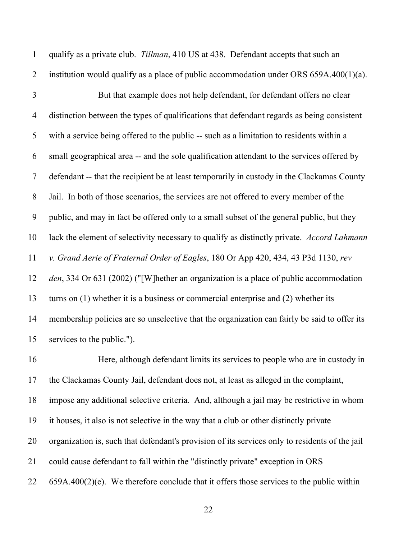1 qualify as a private club. *Tillman*, 410 US at 438. Defendant accepts that such an 2 institution would qualify as a place of public accommodation under ORS 659A.400(1)(a). 3 But that example does not help defendant, for defendant offers no clear 4 distinction between the types of qualifications that defendant regards as being consistent 5 with a service being offered to the public -- such as a limitation to residents within a 6 small geographical area -- and the sole qualification attendant to the services offered by 7 defendant -- that the recipient be at least temporarily in custody in the Clackamas County 8 Jail. In both of those scenarios, the services are not offered to every member of the 9 public, and may in fact be offered only to a small subset of the general public, but they 10 lack the element of selectivity necessary to qualify as distinctly private. *Accord Lahmann*  11 *v. Grand Aerie of Fraternal Order of Eagles*, 180 Or App 420, 434, 43 P3d 1130, *rev*  12 *den*, 334 Or 631 (2002) ("[W]hether an organization is a place of public accommodation 13 turns on (1) whether it is a business or commercial enterprise and (2) whether its 14 membership policies are so unselective that the organization can fairly be said to offer its 15 services to the public.").

16 Here, although defendant limits its services to people who are in custody in 17 the Clackamas County Jail, defendant does not, at least as alleged in the complaint, 18 impose any additional selective criteria. And, although a jail may be restrictive in whom 19 it houses, it also is not selective in the way that a club or other distinctly private 20 organization is, such that defendant's provision of its services only to residents of the jail 21 could cause defendant to fall within the "distinctly private" exception in ORS 22 659A.400(2)(e). We therefore conclude that it offers those services to the public within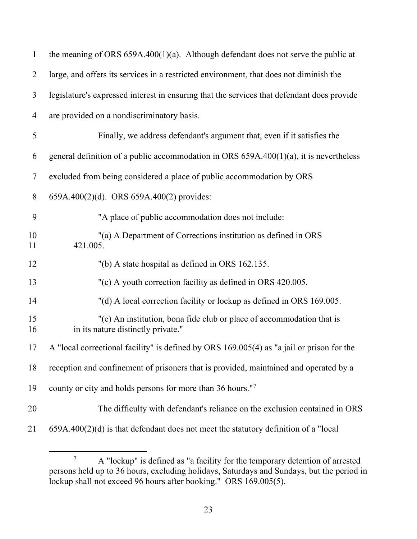| $\mathbf{1}$   | the meaning of ORS $659A.400(1)(a)$ . Although defendant does not serve the public at                       |
|----------------|-------------------------------------------------------------------------------------------------------------|
| $\overline{2}$ | large, and offers its services in a restricted environment, that does not diminish the                      |
| 3              | legislature's expressed interest in ensuring that the services that defendant does provide                  |
| 4              | are provided on a nondiscriminatory basis.                                                                  |
| 5              | Finally, we address defendant's argument that, even if it satisfies the                                     |
| 6              | general definition of a public accommodation in ORS $659A.400(1)(a)$ , it is nevertheless                   |
| $\tau$         | excluded from being considered a place of public accommodation by ORS                                       |
| $8\,$          | 659A.400(2)(d). ORS 659A.400(2) provides:                                                                   |
| 9              | "A place of public accommodation does not include:                                                          |
| 10<br>11       | "(a) A Department of Corrections institution as defined in ORS<br>421.005.                                  |
| 12             | "(b) A state hospital as defined in ORS 162.135.                                                            |
| 13             | "(c) A youth correction facility as defined in ORS 420.005.                                                 |
| 14             | "(d) A local correction facility or lockup as defined in ORS 169.005.                                       |
| 15<br>16       | "(e) An institution, bona fide club or place of accommodation that is<br>in its nature distinctly private." |
| 17             | A "local correctional facility" is defined by ORS 169.005(4) as "a jail or prison for the                   |
| 18             | reception and confinement of prisoners that is provided, maintained and operated by a                       |
| 19             | county or city and holds persons for more than 36 hours." <sup>7</sup>                                      |
| 20             | The difficulty with defendant's reliance on the exclusion contained in ORS                                  |
| 21             | $659A.400(2)(d)$ is that defendant does not meet the statutory definition of a "local                       |

<sup>7</sup> A "lockup" is defined as "a facility for the temporary detention of arrested persons held up to 36 hours, excluding holidays, Saturdays and Sundays, but the period in lockup shall not exceed 96 hours after booking." ORS 169.005(5).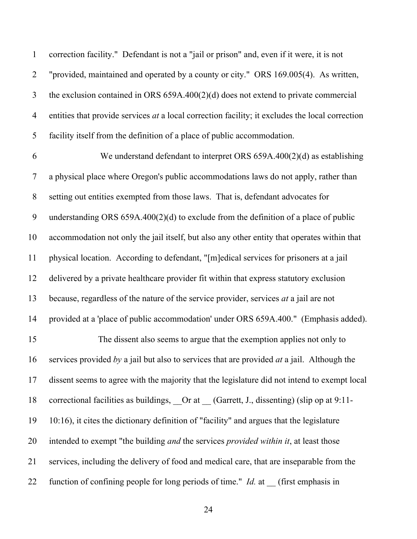1 correction facility." Defendant is not a "jail or prison" and, even if it were, it is not 2 "provided, maintained and operated by a county or city." ORS 169.005(4). As written, 3 the exclusion contained in ORS 659A.400(2)(d) does not extend to private commercial 4 entities that provide services *at* a local correction facility; it excludes the local correction 5 facility itself from the definition of a place of public accommodation.

6 We understand defendant to interpret ORS 659A.400(2)(d) as establishing 7 a physical place where Oregon's public accommodations laws do not apply, rather than 8 setting out entities exempted from those laws. That is, defendant advocates for 9 understanding ORS 659A.400(2)(d) to exclude from the definition of a place of public 10 accommodation not only the jail itself, but also any other entity that operates within that 11 physical location. According to defendant, "[m]edical services for prisoners at a jail 12 delivered by a private healthcare provider fit within that express statutory exclusion 13 because, regardless of the nature of the service provider, services *at* a jail are not 14 provided at a 'place of public accommodation' under ORS 659A.400." (Emphasis added). 15 The dissent also seems to argue that the exemption applies not only to 16 services provided *by* a jail but also to services that are provided *at* a jail. Although the 17 dissent seems to agree with the majority that the legislature did not intend to exempt local 18 correctional facilities as buildings, Or at (Garrett, J., dissenting) (slip op at 9:11-19 10:16), it cites the dictionary definition of "facility" and argues that the legislature

20 intended to exempt "the building *and* the services *provided within it*, at least those

21 services, including the delivery of food and medical care, that are inseparable from the

22 function of confining people for long periods of time." *Id.* at (first emphasis in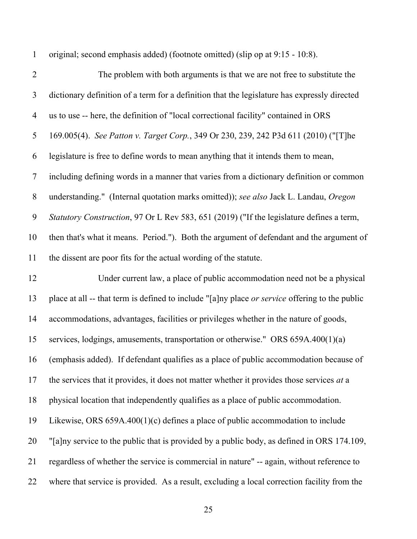1 original; second emphasis added) (footnote omitted) (slip op at 9:15 - 10:8).

| $\overline{2}$ | The problem with both arguments is that we are not free to substitute the                      |
|----------------|------------------------------------------------------------------------------------------------|
| $\mathfrak{Z}$ | dictionary definition of a term for a definition that the legislature has expressly directed   |
| $\overline{4}$ | us to use -- here, the definition of "local correctional facility" contained in ORS            |
| 5              | 169.005(4). See Patton v. Target Corp., 349 Or 230, 239, 242 P3d 611 (2010) ("[T]he            |
| 6              | legislature is free to define words to mean anything that it intends them to mean,             |
| $\tau$         | including defining words in a manner that varies from a dictionary definition or common        |
| 8              | understanding." (Internal quotation marks omitted)); see also Jack L. Landau, Oregon           |
| 9              | Statutory Construction, 97 Or L Rev 583, 651 (2019) ("If the legislature defines a term,       |
| 10             | then that's what it means. Period."). Both the argument of defendant and the argument of       |
| 11             | the dissent are poor fits for the actual wording of the statute.                               |
| 12             | Under current law, a place of public accommodation need not be a physical                      |
| 13             | place at all -- that term is defined to include "[a]ny place or service offering to the public |
| 14             | accommodations, advantages, facilities or privileges whether in the nature of goods,           |
| 15             | services, lodgings, amusements, transportation or otherwise." ORS 659A.400(1)(a)               |
| 16             | (emphasis added). If defendant qualifies as a place of public accommodation because of         |
| 17             | the services that it provides, it does not matter whether it provides those services at a      |
| 18             | physical location that independently qualifies as a place of public accommodation.             |
| 19             | Likewise, ORS $659A.400(1)(c)$ defines a place of public accommodation to include              |
| 20             | "[a]ny service to the public that is provided by a public body, as defined in ORS 174.109,     |
| 21             | regardless of whether the service is commercial in nature" -- again, without reference to      |
| 22             | where that service is provided. As a result, excluding a local correction facility from the    |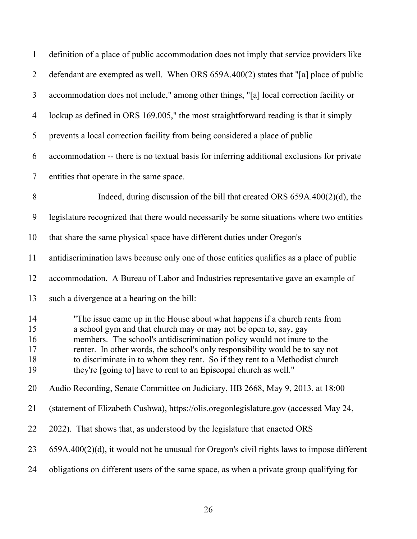| $\mathbf{1}$                     | definition of a place of public accommodation does not imply that service providers like                                                                                                                                                                                                                                                                                                                                                                   |
|----------------------------------|------------------------------------------------------------------------------------------------------------------------------------------------------------------------------------------------------------------------------------------------------------------------------------------------------------------------------------------------------------------------------------------------------------------------------------------------------------|
| $\overline{2}$                   | defendant are exempted as well. When ORS 659A.400(2) states that "[a] place of public                                                                                                                                                                                                                                                                                                                                                                      |
| $\overline{3}$                   | accommodation does not include," among other things, "[a] local correction facility or                                                                                                                                                                                                                                                                                                                                                                     |
| $\overline{4}$                   | lockup as defined in ORS 169.005," the most straightforward reading is that it simply                                                                                                                                                                                                                                                                                                                                                                      |
| 5                                | prevents a local correction facility from being considered a place of public                                                                                                                                                                                                                                                                                                                                                                               |
| 6                                | accommodation -- there is no textual basis for inferring additional exclusions for private                                                                                                                                                                                                                                                                                                                                                                 |
| $\tau$                           | entities that operate in the same space.                                                                                                                                                                                                                                                                                                                                                                                                                   |
| 8                                | Indeed, during discussion of the bill that created ORS $659A.400(2)(d)$ , the                                                                                                                                                                                                                                                                                                                                                                              |
| 9                                | legislature recognized that there would necessarily be some situations where two entities                                                                                                                                                                                                                                                                                                                                                                  |
| 10                               | that share the same physical space have different duties under Oregon's                                                                                                                                                                                                                                                                                                                                                                                    |
| 11                               | antidiscrimination laws because only one of those entities qualifies as a place of public                                                                                                                                                                                                                                                                                                                                                                  |
| 12                               | accommodation. A Bureau of Labor and Industries representative gave an example of                                                                                                                                                                                                                                                                                                                                                                          |
| 13                               | such a divergence at a hearing on the bill:                                                                                                                                                                                                                                                                                                                                                                                                                |
| 14<br>15<br>16<br>17<br>18<br>19 | "The issue came up in the House about what happens if a church rents from<br>a school gym and that church may or may not be open to, say, gay<br>members. The school's antidiscrimination policy would not inure to the<br>renter. In other words, the school's only responsibility would be to say not<br>to discriminate in to whom they rent. So if they rent to a Methodist church<br>they're [going to] have to rent to an Episcopal church as well." |
| 20                               | Audio Recording, Senate Committee on Judiciary, HB 2668, May 9, 2013, at 18:00                                                                                                                                                                                                                                                                                                                                                                             |
| 21                               | (statement of Elizabeth Cushwa), https://olis.oregonlegislature.gov (accessed May 24,                                                                                                                                                                                                                                                                                                                                                                      |
| 22                               | 2022). That shows that, as understood by the legislature that enacted ORS                                                                                                                                                                                                                                                                                                                                                                                  |
| 23                               | $659A.400(2)(d)$ , it would not be unusual for Oregon's civil rights laws to impose different                                                                                                                                                                                                                                                                                                                                                              |
| 24                               | obligations on different users of the same space, as when a private group qualifying for                                                                                                                                                                                                                                                                                                                                                                   |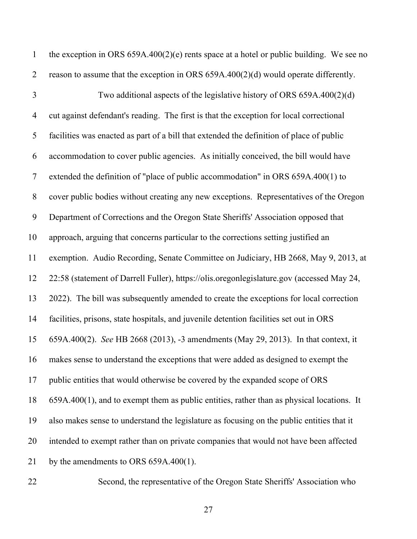| $\mathbf{1}$   | the exception in ORS $659A.400(2)(e)$ rents space at a hotel or public building. We see no   |
|----------------|----------------------------------------------------------------------------------------------|
| $\overline{2}$ | reason to assume that the exception in ORS $659A.400(2)(d)$ would operate differently.       |
| $\overline{3}$ | Two additional aspects of the legislative history of ORS 659A.400(2)(d)                      |
| $\overline{4}$ | cut against defendant's reading. The first is that the exception for local correctional      |
| 5              | facilities was enacted as part of a bill that extended the definition of place of public     |
| 6              | accommodation to cover public agencies. As initially conceived, the bill would have          |
| $\tau$         | extended the definition of "place of public accommodation" in ORS 659A.400(1) to             |
| $8\,$          | cover public bodies without creating any new exceptions. Representatives of the Oregon       |
| 9              | Department of Corrections and the Oregon State Sheriffs' Association opposed that            |
| 10             | approach, arguing that concerns particular to the corrections setting justified an           |
| 11             | exemption. Audio Recording, Senate Committee on Judiciary, HB 2668, May 9, 2013, at          |
| 12             | 22:58 (statement of Darrell Fuller), https://olis.oregonlegislature.gov (accessed May 24,    |
| 13             | 2022). The bill was subsequently amended to create the exceptions for local correction       |
| 14             | facilities, prisons, state hospitals, and juvenile detention facilities set out in ORS       |
| 15             | 659A.400(2). See HB 2668 (2013), -3 amendments (May 29, 2013). In that context, it           |
| 16             | makes sense to understand the exceptions that were added as designed to exempt the           |
| 17             | public entities that would otherwise be covered by the expanded scope of ORS                 |
| 18             | $659A.400(1)$ , and to exempt them as public entities, rather than as physical locations. It |
| 19             | also makes sense to understand the legislature as focusing on the public entities that it    |
| 20             | intended to exempt rather than on private companies that would not have been affected        |
| 21             | by the amendments to ORS $659A.400(1)$ .                                                     |
| 22             | Second, the representative of the Oregon State Sheriffs' Association who                     |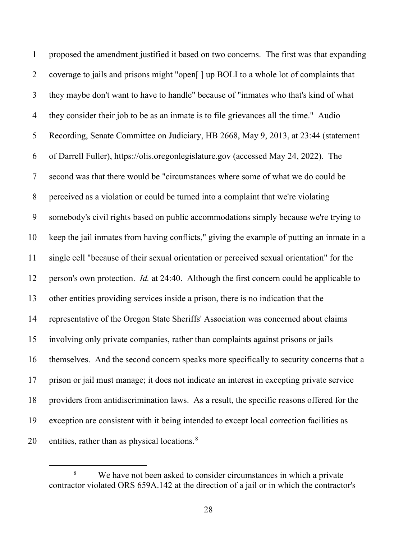1 proposed the amendment justified it based on two concerns. The first was that expanding 2 coverage to jails and prisons might "open[ ] up BOLI to a whole lot of complaints that 3 they maybe don't want to have to handle" because of "inmates who that's kind of what 4 they consider their job to be as an inmate is to file grievances all the time." Audio 5 Recording, Senate Committee on Judiciary, HB 2668, May 9, 2013, at 23:44 (statement 6 of Darrell Fuller), https://olis.oregonlegislature.gov (accessed May 24, 2022). The 7 second was that there would be "circumstances where some of what we do could be 8 perceived as a violation or could be turned into a complaint that we're violating 9 somebody's civil rights based on public accommodations simply because we're trying to 10 keep the jail inmates from having conflicts," giving the example of putting an inmate in a 11 single cell "because of their sexual orientation or perceived sexual orientation" for the 12 person's own protection. *Id.* at 24:40. Although the first concern could be applicable to 13 other entities providing services inside a prison, there is no indication that the 14 representative of the Oregon State Sheriffs' Association was concerned about claims 15 involving only private companies, rather than complaints against prisons or jails 16 themselves. And the second concern speaks more specifically to security concerns that a 17 prison or jail must manage; it does not indicate an interest in excepting private service 18 providers from antidiscrimination laws. As a result, the specific reasons offered for the 19 exception are consistent with it being intended to except local correction facilities as 20 entities, rather than as physical locations. $8<sup>8</sup>$ 

<sup>8</sup> We have not been asked to consider circumstances in which a private contractor violated ORS 659A.142 at the direction of a jail or in which the contractor's